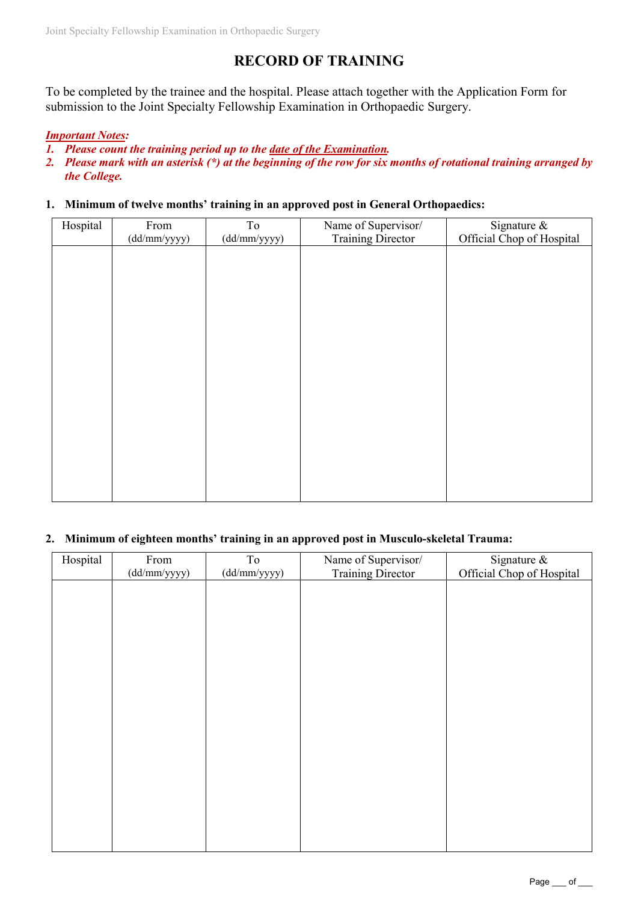# **RECORD OF TRAINING**

To be completed by the trainee and the hospital. Please attach together with the Application Form for submission to the Joint Specialty Fellowship Examination in Orthopaedic Surgery.

### *Important Notes:*

- *1. Please count the training period up to the date of the Examination.*
- *2. Please mark with an asterisk (\*) at the beginning of the row for six months of rotational training arranged by the College.*

#### **1. Minimum of twelve months' training in an approved post in General Orthopaedics:**

| Hospital | From<br>(dd/mm/yyyy) | To<br>(dd/mm/yyyy) | Name of Supervisor/<br><b>Training Director</b> | Signature &<br>Official Chop of Hospital |
|----------|----------------------|--------------------|-------------------------------------------------|------------------------------------------|
|          |                      |                    |                                                 |                                          |
|          |                      |                    |                                                 |                                          |
|          |                      |                    |                                                 |                                          |
|          |                      |                    |                                                 |                                          |
|          |                      |                    |                                                 |                                          |
|          |                      |                    |                                                 |                                          |
|          |                      |                    |                                                 |                                          |
|          |                      |                    |                                                 |                                          |
|          |                      |                    |                                                 |                                          |

#### **2. Minimum of eighteen months' training in an approved post in Musculo-skeletal Trauma:**

| Hospital | From         | To           | Name of Supervisor/      | Signature &               |
|----------|--------------|--------------|--------------------------|---------------------------|
|          | (dd/mm/yyyy) | (dd/mm/yyyy) | <b>Training Director</b> | Official Chop of Hospital |
|          |              |              |                          |                           |
|          |              |              |                          |                           |
|          |              |              |                          |                           |
|          |              |              |                          |                           |
|          |              |              |                          |                           |
|          |              |              |                          |                           |
|          |              |              |                          |                           |
|          |              |              |                          |                           |
|          |              |              |                          |                           |
|          |              |              |                          |                           |
|          |              |              |                          |                           |
|          |              |              |                          |                           |
|          |              |              |                          |                           |
|          |              |              |                          |                           |
|          |              |              |                          |                           |
|          |              |              |                          |                           |
|          |              |              |                          |                           |
|          |              |              |                          |                           |
|          |              |              |                          |                           |
|          |              |              |                          |                           |